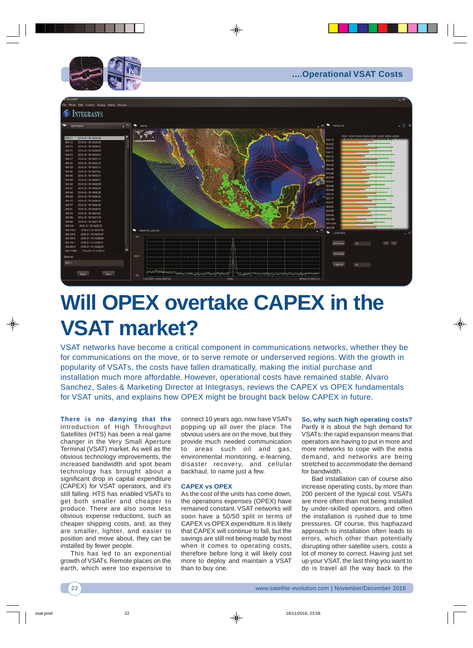



## **Will OPEX overtake CAPEX in the VSAT market?**

VSAT networks have become a critical component in communications networks, whether they be for communications on the move, or to serve remote or underserved regions. With the growth in popularity of VSATs, the costs have fallen dramatically, making the initial purchase and installation much more affordable. However, operational costs have remained stable. Alvaro Sanchez, Sales & Marketing Director at Integrasys, reviews the CAPEX vs OPEX fundamentals for VSAT units, and explains how OPEX might be brought back below CAPEX in future.

**There is no denying that the** introduction of High Throughput Satellites (HTS) has been a real game changer in the Very Small Aperture Terminal (VSAT) market. As well as the obvious technology improvements, the increased bandwidth and spot beam technology has brought about a significant drop in capital expenditure (CAPEX) for VSAT operators, and it's still falling. HTS has enabled VSATs to get both smaller and cheaper to produce. There are also some less obvious expense reductions, such as cheaper shipping costs, and, as they are smaller, lighter, and easier to position and move about, they can be installed by fewer people.

This has led to an exponential growth of VSATs. Remote places on the earth, which were too expensive to

connect 10 years ago, now have VSATs popping up all over the place. The obvious users are on the move, but they provide much needed communication to areas such oil and gas, environmental monitoring, e-learning, disaster recovery, and cellular backhaul, to name just a few.

## **CAPEX vs OPEX**

As the cost of the units has come down, the operations expenses (OPEX) have remained constant. VSAT networks will soon have a 50/50 split in terms of CAPEX vs OPEX expenditure. It is likely that CAPEX will continue to fall, but the savings are still not being made by most when it comes to operating costs, therefore before long it will likely cost more to deploy and maintain a VSAT than to buy one.

**So, why such high operating costs?** Partly it is about the high demand for VSATs; the rapid expansion means that operators are having to put in more and more networks to cope with the extra demand, and networks are being stretched to accommodate the demand for bandwidth.

Bad installation can of course also increase operating costs, by more than 200 percent of the typical cost. VSATs are more often than not being installed by under-skilled operators, and often the installation is rushed due to time pressures. Of course, this haphazard approach to installation often leads to errors, which other than potentially disrupting other satellite users, costs a lot of money to correct. Having just set up your VSAT, the last thing you want to do is travel all the way back to the